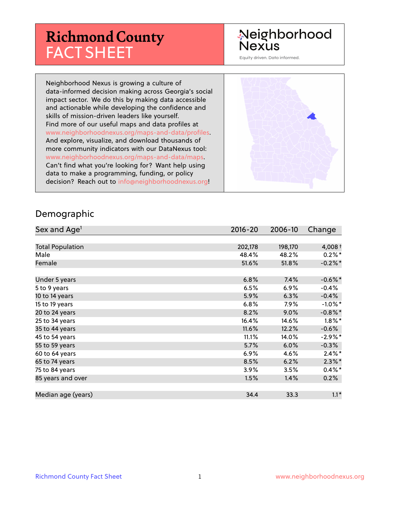# **Richmond County** FACT SHEET

#### Neighborhood **Nexus**

Equity driven. Data informed.

Neighborhood Nexus is growing a culture of data-informed decision making across Georgia's social impact sector. We do this by making data accessible and actionable while developing the confidence and skills of mission-driven leaders like yourself. Find more of our useful maps and data profiles at www.neighborhoodnexus.org/maps-and-data/profiles. And explore, visualize, and download thousands of more community indicators with our DataNexus tool: www.neighborhoodnexus.org/maps-and-data/maps. Can't find what you're looking for? Want help using data to make a programming, funding, or policy decision? Reach out to [info@neighborhoodnexus.org!](mailto:info@neighborhoodnexus.org)



#### Demographic

| Sex and Age <sup>1</sup> | $2016 - 20$ | 2006-10 | Change     |
|--------------------------|-------------|---------|------------|
|                          |             |         |            |
| <b>Total Population</b>  | 202,178     | 198,170 | 4,008 $†$  |
| Male                     | 48.4%       | 48.2%   | $0.2\%$ *  |
| Female                   | 51.6%       | 51.8%   | $-0.2%$ *  |
|                          |             |         |            |
| Under 5 years            | 6.8%        | 7.4%    | $-0.6%$ *  |
| 5 to 9 years             | 6.5%        | $6.9\%$ | $-0.4%$    |
| 10 to 14 years           | 5.9%        | 6.3%    | $-0.4%$    |
| 15 to 19 years           | 6.8%        | 7.9%    | $-1.0\%$ * |
| 20 to 24 years           | 8.2%        | $9.0\%$ | $-0.8\%$ * |
| 25 to 34 years           | 16.4%       | 14.6%   | $1.8\%$ *  |
| 35 to 44 years           | 11.6%       | 12.2%   | $-0.6%$    |
| 45 to 54 years           | 11.1%       | 14.0%   | $-2.9%$ *  |
| 55 to 59 years           | 5.7%        | 6.0%    | $-0.3%$    |
| 60 to 64 years           | 6.9%        | 4.6%    | $2.4\%$ *  |
| 65 to 74 years           | 8.5%        | 6.2%    | $2.3\%$ *  |
| 75 to 84 years           | 3.9%        | 3.5%    | $0.4\%$ *  |
| 85 years and over        | 1.5%        | 1.4%    | 0.2%       |
|                          |             |         |            |
| Median age (years)       | 34.4        | 33.3    | $1.1*$     |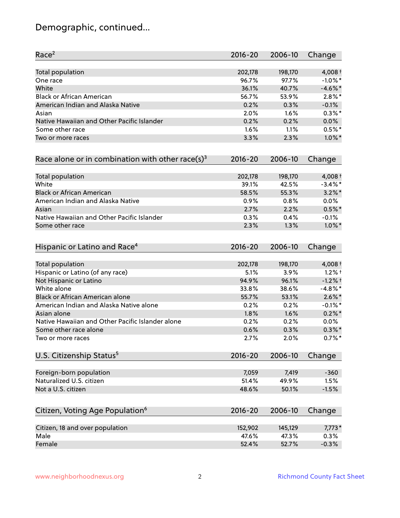# Demographic, continued...

| Race <sup>2</sup>                                            | $2016 - 20$ | 2006-10 | Change     |
|--------------------------------------------------------------|-------------|---------|------------|
| <b>Total population</b>                                      | 202,178     | 198,170 | 4,008 $†$  |
| One race                                                     | 96.7%       | 97.7%   | $-1.0\%$ * |
| White                                                        | 36.1%       | 40.7%   | $-4.6\%$ * |
| <b>Black or African American</b>                             | 56.7%       | 53.9%   | $2.8\%$ *  |
| American Indian and Alaska Native                            | 0.2%        | 0.3%    | $-0.1%$    |
| Asian                                                        | 2.0%        | 1.6%    | $0.3\%$ *  |
| Native Hawaiian and Other Pacific Islander                   | 0.2%        | 0.2%    | 0.0%       |
| Some other race                                              | 1.6%        | 1.1%    | $0.5%$ *   |
| Two or more races                                            | 3.3%        | 2.3%    | $1.0\%$ *  |
| Race alone or in combination with other race(s) <sup>3</sup> | $2016 - 20$ | 2006-10 | Change     |
| Total population                                             | 202,178     | 198,170 | 4,008 $†$  |
| White                                                        | 39.1%       | 42.5%   | $-3.4\%$ * |
| <b>Black or African American</b>                             | 58.5%       | 55.3%   | $3.2\%$ *  |
| American Indian and Alaska Native                            | 0.9%        | 0.8%    | 0.0%       |
| Asian                                                        | 2.7%        | 2.2%    | $0.5%$ *   |
| Native Hawaiian and Other Pacific Islander                   | 0.3%        | 0.4%    | $-0.1%$    |
| Some other race                                              | 2.3%        | 1.3%    | $1.0\%$ *  |
| Hispanic or Latino and Race <sup>4</sup>                     | $2016 - 20$ | 2006-10 | Change     |
| <b>Total population</b>                                      | 202,178     | 198,170 | $4,008+$   |
| Hispanic or Latino (of any race)                             | 5.1%        | 3.9%    | $1.2%$ †   |
| Not Hispanic or Latino                                       | 94.9%       | 96.1%   | $-1.2%$ +  |
| White alone                                                  | 33.8%       | 38.6%   | $-4.8\%$ * |
| Black or African American alone                              | 55.7%       | 53.1%   | $2.6\%$ *  |
| American Indian and Alaska Native alone                      | 0.2%        | 0.2%    | $-0.1\%$ * |
| Asian alone                                                  | 1.8%        | 1.6%    | $0.2\%$ *  |
| Native Hawaiian and Other Pacific Islander alone             | 0.2%        | 0.2%    | $0.0\%$    |
| Some other race alone                                        | 0.6%        | 0.3%    | $0.3\% *$  |
| Two or more races                                            | 2.7%        | 2.0%    | $0.7%$ *   |
| U.S. Citizenship Status <sup>5</sup>                         | $2016 - 20$ | 2006-10 | Change     |
| Foreign-born population                                      | 7,059       | 7,419   | $-360$     |
| Naturalized U.S. citizen                                     | 51.4%       | 49.9%   | 1.5%       |
| Not a U.S. citizen                                           | 48.6%       | 50.1%   | $-1.5%$    |
|                                                              |             |         |            |
| Citizen, Voting Age Population <sup>6</sup>                  | $2016 - 20$ | 2006-10 | Change     |
| Citizen, 18 and over population                              | 152,902     | 145,129 | $7,773*$   |
| Male                                                         | 47.6%       | 47.3%   | 0.3%       |
| Female                                                       | 52.4%       | 52.7%   | $-0.3%$    |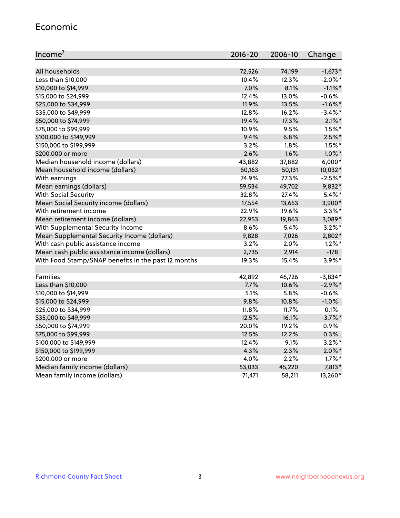#### Economic

| Income <sup>7</sup>                                 | $2016 - 20$ | 2006-10 | Change     |
|-----------------------------------------------------|-------------|---------|------------|
|                                                     |             |         |            |
| All households                                      | 72,526      | 74,199  | $-1,673*$  |
| Less than \$10,000                                  | 10.4%       | 12.3%   | $-2.0\%$ * |
| \$10,000 to \$14,999                                | 7.0%        | 8.1%    | $-1.1\%$ * |
| \$15,000 to \$24,999                                | 12.4%       | 13.0%   | $-0.6%$    |
| \$25,000 to \$34,999                                | 11.9%       | 13.5%   | $-1.6\%$ * |
| \$35,000 to \$49,999                                | 12.8%       | 16.2%   | $-3.4\%$ * |
| \$50,000 to \$74,999                                | 19.4%       | 17.3%   | $2.1\%$ *  |
| \$75,000 to \$99,999                                | 10.9%       | 9.5%    | $1.5\%$ *  |
| \$100,000 to \$149,999                              | 9.4%        | 6.8%    | $2.5%$ *   |
| \$150,000 to \$199,999                              | 3.2%        | 1.8%    | $1.5\%$ *  |
| \$200,000 or more                                   | 2.6%        | 1.6%    | $1.0\%$ *  |
| Median household income (dollars)                   | 43,882      | 37,882  | $6,000*$   |
| Mean household income (dollars)                     | 60,163      | 50,131  | 10,032*    |
| With earnings                                       | 74.9%       | 77.3%   | $-2.5%$ *  |
| Mean earnings (dollars)                             | 59,534      | 49,702  | 9,832*     |
| <b>With Social Security</b>                         | 32.8%       | 27.4%   | $5.4\%$ *  |
| Mean Social Security income (dollars)               | 17,554      | 13,653  | 3,900*     |
| With retirement income                              | 22.9%       | 19.6%   | $3.3\%$ *  |
| Mean retirement income (dollars)                    | 22,953      | 19,863  | 3,089*     |
| With Supplemental Security Income                   | 8.6%        | 5.4%    | $3.2\%$ *  |
| Mean Supplemental Security Income (dollars)         | 9,828       | 7,026   | 2,802*     |
| With cash public assistance income                  | 3.2%        | 2.0%    | $1.2\%$ *  |
| Mean cash public assistance income (dollars)        | 2,735       | 2,914   | $-178$     |
| With Food Stamp/SNAP benefits in the past 12 months | 19.3%       | 15.4%   | $3.9\%$ *  |
|                                                     |             |         |            |
| Families                                            | 42,892      | 46,726  | $-3,834*$  |
| Less than \$10,000                                  | 7.7%        | 10.6%   | $-2.9\%$ * |
| \$10,000 to \$14,999                                | 5.1%        | 5.8%    | $-0.6%$    |
| \$15,000 to \$24,999                                | 9.8%        | 10.8%   | $-1.0%$    |
| \$25,000 to \$34,999                                | 11.8%       | 11.7%   | 0.1%       |
| \$35,000 to \$49,999                                | 12.5%       | 16.1%   | $-3.7%$ *  |
| \$50,000 to \$74,999                                | 20.0%       | 19.2%   | 0.9%       |
| \$75,000 to \$99,999                                | 12.5%       | 12.2%   | 0.3%       |
| \$100,000 to \$149,999                              | 12.4%       | 9.1%    | $3.2\%$ *  |
| \$150,000 to \$199,999                              | 4.3%        | 2.3%    | $2.0\%$ *  |
| \$200,000 or more                                   | 4.0%        | 2.2%    | $1.7\%$ *  |
| Median family income (dollars)                      | 53,033      | 45,220  | 7,813*     |
| Mean family income (dollars)                        | 71,471      | 58,211  | 13,260*    |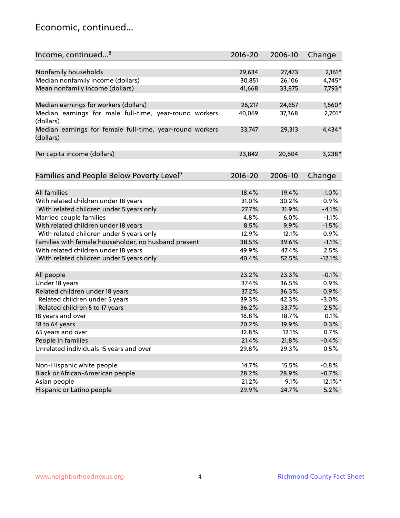#### Economic, continued...

| Income, continued <sup>8</sup>                                        | $2016 - 20$ | 2006-10 | Change   |
|-----------------------------------------------------------------------|-------------|---------|----------|
|                                                                       |             |         |          |
| Nonfamily households                                                  | 29,634      | 27,473  | $2,161*$ |
| Median nonfamily income (dollars)                                     | 30,851      | 26,106  | 4,745*   |
| Mean nonfamily income (dollars)                                       | 41,668      | 33,875  | 7,793*   |
| Median earnings for workers (dollars)                                 | 26,217      | 24,657  | 1,560*   |
| Median earnings for male full-time, year-round workers                | 40,069      | 37,368  | 2,701*   |
| (dollars)                                                             |             |         |          |
| Median earnings for female full-time, year-round workers<br>(dollars) | 33,747      | 29,313  | 4,434*   |
| Per capita income (dollars)                                           | 23,842      | 20,604  | $3,238*$ |
|                                                                       |             |         |          |
| Families and People Below Poverty Level <sup>9</sup>                  | 2016-20     | 2006-10 | Change   |
|                                                                       |             |         |          |
| <b>All families</b>                                                   | 18.4%       | 19.4%   | $-1.0%$  |
| With related children under 18 years                                  | 31.0%       | 30.2%   | 0.9%     |
| With related children under 5 years only                              | 27.7%       | 31.9%   | $-4.1%$  |
| Married couple families                                               | 4.8%        | 6.0%    | $-1.1%$  |
| With related children under 18 years                                  | 8.5%        | 9.9%    | $-1.5%$  |
| With related children under 5 years only                              | 12.9%       | 12.1%   | 0.9%     |
| Families with female householder, no husband present                  | 38.5%       | 39.6%   | $-1.1%$  |
| With related children under 18 years                                  | 49.9%       | 47.4%   | 2.5%     |
| With related children under 5 years only                              | 40.4%       | 52.5%   | $-12.1%$ |
| All people                                                            | 23.2%       | 23.3%   | $-0.1%$  |
| Under 18 years                                                        | 37.4%       | 36.5%   | 0.9%     |
| Related children under 18 years                                       | 37.2%       | 36.3%   | 0.9%     |
| Related children under 5 years                                        | 39.3%       | 42.3%   | $-3.0%$  |
| Related children 5 to 17 years                                        | 36.2%       | 33.7%   | 2.5%     |
| 18 years and over                                                     | 18.8%       | 18.7%   | 0.1%     |
| 18 to 64 years                                                        | 20.2%       | 19.9%   | 0.3%     |
| 65 years and over                                                     | 12.8%       | 12.1%   | 0.7%     |
| People in families                                                    | 21.4%       | 21.8%   | $-0.4%$  |
| Unrelated individuals 15 years and over                               | 29.8%       | 29.3%   | 0.5%     |
|                                                                       |             |         |          |
| Non-Hispanic white people                                             | 14.7%       | 15.5%   | $-0.8%$  |
| Black or African-American people                                      | 28.2%       | 28.9%   | $-0.7%$  |
| Asian people                                                          | 21.2%       | 9.1%    | 12.1%*   |
| Hispanic or Latino people                                             | 29.9%       | 24.7%   | 5.2%     |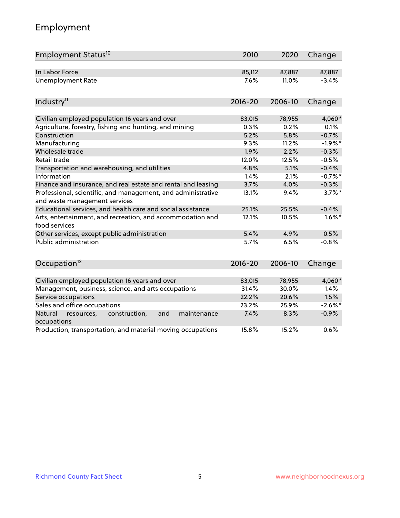# Employment

| Employment Status <sup>10</sup>                                             | 2010           | 2020           | Change         |
|-----------------------------------------------------------------------------|----------------|----------------|----------------|
| In Labor Force                                                              | 85,112         | 87,887         | 87,887         |
| <b>Unemployment Rate</b>                                                    | 7.6%           | 11.0%          | $-3.4%$        |
| Industry <sup>11</sup>                                                      | $2016 - 20$    | 2006-10        | Change         |
|                                                                             |                |                |                |
| Civilian employed population 16 years and over                              | 83,015<br>0.3% | 78,955<br>0.2% | 4,060*<br>0.1% |
| Agriculture, forestry, fishing and hunting, and mining<br>Construction      | 5.2%           | 5.8%           | $-0.7%$        |
| Manufacturing                                                               | 9.3%           | 11.2%          | $-1.9%$ *      |
| Wholesale trade                                                             | 1.9%           | 2.2%           | $-0.3%$        |
| Retail trade                                                                | 12.0%          | 12.5%          | $-0.5%$        |
| Transportation and warehousing, and utilities                               | 4.8%           | 5.1%           | $-0.4%$        |
| Information                                                                 | 1.4%           | 2.1%           | $-0.7%$ *      |
| Finance and insurance, and real estate and rental and leasing               | 3.7%           | 4.0%           | $-0.3%$        |
| Professional, scientific, and management, and administrative                | 13.1%          | 9.4%           | $3.7\%$ *      |
| and waste management services                                               |                |                |                |
| Educational services, and health care and social assistance                 | 25.1%          | 25.5%          | $-0.4%$        |
| Arts, entertainment, and recreation, and accommodation and<br>food services | 12.1%          | 10.5%          | $1.6\%$ *      |
| Other services, except public administration                                | 5.4%           | 4.9%           | 0.5%           |
| <b>Public administration</b>                                                | 5.7%           | 6.5%           | $-0.8%$        |
| Occupation <sup>12</sup>                                                    | $2016 - 20$    | 2006-10        | Change         |
|                                                                             |                |                |                |
| Civilian employed population 16 years and over                              | 83,015         | 78,955         | 4,060*         |
| Management, business, science, and arts occupations                         | 31.4%          | 30.0%          | 1.4%           |
| Service occupations                                                         | 22.2%          | 20.6%          | 1.5%           |
| Sales and office occupations                                                | 23.2%          | 25.9%          | $-2.6\%$ *     |
| Natural<br>construction,<br>and<br>maintenance<br>resources,<br>occupations | 7.4%           | 8.3%           | $-0.9%$        |
| Production, transportation, and material moving occupations                 | 15.8%          | 15.2%          | 0.6%           |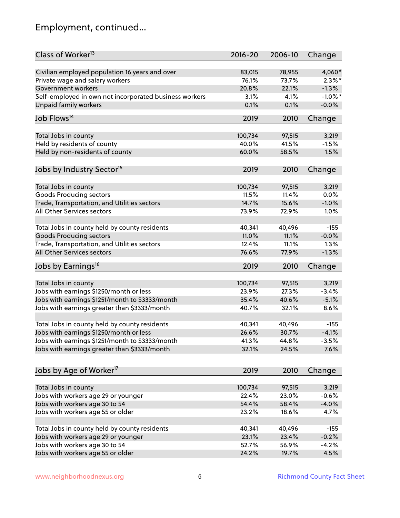# Employment, continued...

| Class of Worker <sup>13</sup>                                              | $2016 - 20$ | 2006-10        | Change     |
|----------------------------------------------------------------------------|-------------|----------------|------------|
| Civilian employed population 16 years and over                             | 83,015      | 78,955         | 4,060*     |
| Private wage and salary workers                                            | 76.1%       | 73.7%          | $2.3\%$ *  |
| Government workers                                                         | 20.8%       | 22.1%          | $-1.3%$    |
| Self-employed in own not incorporated business workers                     | 3.1%        | 4.1%           | $-1.0\%$ * |
| Unpaid family workers                                                      | 0.1%        | 0.1%           | $-0.0%$    |
| Job Flows <sup>14</sup>                                                    | 2019        | 2010           | Change     |
|                                                                            |             |                |            |
| Total Jobs in county                                                       | 100,734     | 97,515         | 3,219      |
| Held by residents of county                                                | 40.0%       | 41.5%          | $-1.5%$    |
| Held by non-residents of county                                            | 60.0%       | 58.5%          | 1.5%       |
|                                                                            |             |                |            |
| Jobs by Industry Sector <sup>15</sup>                                      | 2019        | 2010           | Change     |
|                                                                            |             |                |            |
| Total Jobs in county                                                       | 100,734     | 97,515         | 3,219      |
| Goods Producing sectors                                                    | 11.5%       | 11.4%<br>15.6% | 0.0%       |
| Trade, Transportation, and Utilities sectors<br>All Other Services sectors | 14.7%       |                | $-1.0%$    |
|                                                                            | 73.9%       | 72.9%          | 1.0%       |
| Total Jobs in county held by county residents                              | 40,341      | 40,496         | $-155$     |
| <b>Goods Producing sectors</b>                                             | 11.0%       | 11.1%          | $-0.0%$    |
| Trade, Transportation, and Utilities sectors                               | 12.4%       | 11.1%          | 1.3%       |
| All Other Services sectors                                                 | 76.6%       | 77.9%          | $-1.3%$    |
|                                                                            |             |                |            |
| Jobs by Earnings <sup>16</sup>                                             | 2019        | 2010           | Change     |
|                                                                            |             |                |            |
| Total Jobs in county                                                       | 100,734     | 97,515         | 3,219      |
| Jobs with earnings \$1250/month or less                                    | 23.9%       | 27.3%          | $-3.4%$    |
| Jobs with earnings \$1251/month to \$3333/month                            | 35.4%       | 40.6%          | $-5.1%$    |
| Jobs with earnings greater than \$3333/month                               | 40.7%       | 32.1%          | 8.6%       |
| Total Jobs in county held by county residents                              | 40,341      | 40,496         | $-155$     |
| Jobs with earnings \$1250/month or less                                    | 26.6%       | 30.7%          | $-4.1%$    |
| Jobs with earnings \$1251/month to \$3333/month                            | 41.3%       | 44.8%          | $-3.5%$    |
| Jobs with earnings greater than \$3333/month                               | 32.1%       | 24.5%          | 7.6%       |
|                                                                            |             |                |            |
| Jobs by Age of Worker <sup>17</sup>                                        | 2019        | 2010           | Change     |
|                                                                            |             |                |            |
| Total Jobs in county                                                       | 100,734     | 97,515         | 3,219      |
| Jobs with workers age 29 or younger                                        | 22.4%       | 23.0%          | $-0.6%$    |
| Jobs with workers age 30 to 54                                             | 54.4%       | 58.4%          | $-4.0%$    |
| Jobs with workers age 55 or older                                          | 23.2%       | 18.6%          | 4.7%       |
| Total Jobs in county held by county residents                              | 40,341      | 40,496         | $-155$     |
| Jobs with workers age 29 or younger                                        | 23.1%       | 23.4%          | $-0.2%$    |
| Jobs with workers age 30 to 54                                             | 52.7%       | 56.9%          | $-4.2%$    |
| Jobs with workers age 55 or older                                          | 24.2%       | 19.7%          | 4.5%       |
|                                                                            |             |                |            |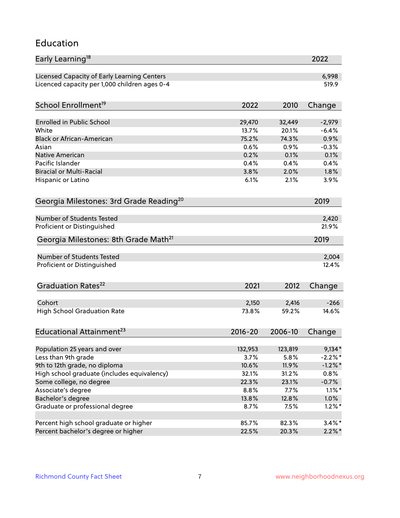#### Education

| Early Learning <sup>18</sup>                        |                |         | 2022       |
|-----------------------------------------------------|----------------|---------|------------|
| Licensed Capacity of Early Learning Centers         |                |         | 6,998      |
| Licenced capacity per 1,000 children ages 0-4       |                |         | 519.9      |
| School Enrollment <sup>19</sup>                     | 2022           | 2010    | Change     |
|                                                     |                |         |            |
| <b>Enrolled in Public School</b>                    | 29,470         | 32,449  | $-2,979$   |
| White                                               | 13.7%          | 20.1%   | $-6.4%$    |
| <b>Black or African-American</b>                    | 75.2%          | 74.3%   | 0.9%       |
| Asian                                               | 0.6%           | 0.9%    | $-0.3%$    |
| Native American                                     | 0.2%           | 0.1%    | 0.1%       |
| Pacific Islander                                    | 0.4%           | 0.4%    | 0.4%       |
| <b>Biracial or Multi-Racial</b>                     | 3.8%           | 2.0%    | 1.8%       |
| Hispanic or Latino                                  | 6.1%           | 2.1%    | 3.9%       |
| Georgia Milestones: 3rd Grade Reading <sup>20</sup> |                |         | 2019       |
|                                                     |                |         |            |
| Number of Students Tested                           |                |         | 2,420      |
| Proficient or Distinguished                         |                |         | 21.9%      |
| Georgia Milestones: 8th Grade Math <sup>21</sup>    |                |         | 2019       |
| Number of Students Tested                           |                |         | 2,004      |
| Proficient or Distinguished                         |                |         | 12.4%      |
|                                                     |                |         |            |
| Graduation Rates <sup>22</sup>                      | 2021           | 2012    | Change     |
|                                                     |                |         |            |
| Cohort                                              | 2,150<br>73.8% | 2,416   | $-266$     |
| <b>High School Graduation Rate</b>                  |                | 59.2%   | 14.6%      |
| Educational Attainment <sup>23</sup>                | $2016 - 20$    | 2006-10 | Change     |
|                                                     |                |         |            |
| Population 25 years and over                        | 132,953        | 123,819 | $9,134*$   |
| Less than 9th grade                                 | 3.7%           | 5.8%    | $-2.2%$ *  |
| 9th to 12th grade, no diploma                       | 10.6%          | 11.9%   | $-1.2\%$ * |
| High school graduate (includes equivalency)         | 32.1%          | 31.2%   | 0.8%       |
| Some college, no degree                             | 22.3%          | 23.1%   | $-0.7%$    |
| Associate's degree                                  | 8.8%           | 7.7%    | $1.1\%$ *  |
| Bachelor's degree                                   | 13.8%          | 12.8%   | 1.0%       |
| Graduate or professional degree                     | 8.7%           | 7.5%    | $1.2\%$ *  |
| Percent high school graduate or higher              | 85.7%          | 82.3%   | $3.4\%$ *  |
| Percent bachelor's degree or higher                 | 22.5%          | 20.3%   | $2.2\%$ *  |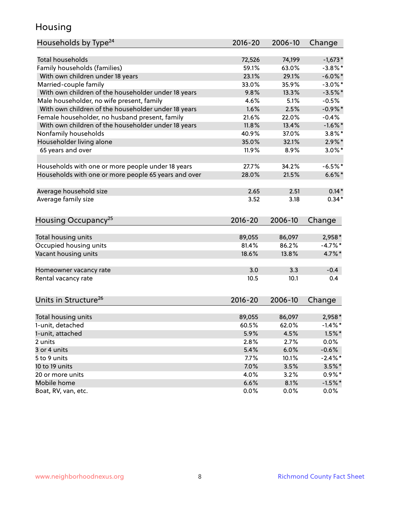#### Housing

| Households by Type <sup>24</sup>                     | 2016-20     | 2006-10 | Change     |
|------------------------------------------------------|-------------|---------|------------|
|                                                      |             |         |            |
| <b>Total households</b>                              | 72,526      | 74,199  | $-1,673*$  |
| Family households (families)                         | 59.1%       | 63.0%   | $-3.8\%$ * |
| With own children under 18 years                     | 23.1%       | 29.1%   | $-6.0\%$ * |
| Married-couple family                                | 33.0%       | 35.9%   | $-3.0\%$ * |
| With own children of the householder under 18 years  | 9.8%        | 13.3%   | $-3.5%$ *  |
| Male householder, no wife present, family            | 4.6%        | 5.1%    | $-0.5%$    |
| With own children of the householder under 18 years  | 1.6%        | 2.5%    | $-0.9\%$ * |
| Female householder, no husband present, family       | 21.6%       | 22.0%   | $-0.4%$    |
| With own children of the householder under 18 years  | 11.8%       | 13.4%   | $-1.6\%$ * |
| Nonfamily households                                 | 40.9%       | 37.0%   | $3.8\%$ *  |
| Householder living alone                             | 35.0%       | 32.1%   | $2.9\%$ *  |
| 65 years and over                                    | 11.9%       | 8.9%    | $3.0\%$ *  |
| Households with one or more people under 18 years    | 27.7%       | 34.2%   | $-6.5%$ *  |
| Households with one or more people 65 years and over | 28.0%       | 21.5%   | $6.6\%$ *  |
|                                                      |             |         |            |
| Average household size                               | 2.65        | 2.51    | $0.14*$    |
| Average family size                                  | 3.52        | 3.18    | $0.34*$    |
| Housing Occupancy <sup>25</sup>                      | $2016 - 20$ | 2006-10 | Change     |
|                                                      |             |         |            |
| Total housing units                                  | 89,055      | 86,097  | 2,958*     |
| Occupied housing units                               | 81.4%       | 86.2%   | $-4.7%$ *  |
| Vacant housing units                                 | 18.6%       | 13.8%   | 4.7%*      |
| Homeowner vacancy rate                               | 3.0         | 3.3     | $-0.4$     |
| Rental vacancy rate                                  | 10.5        | 10.1    | 0.4        |
| Units in Structure <sup>26</sup>                     | $2016 - 20$ | 2006-10 | Change     |
|                                                      |             |         |            |
| Total housing units                                  | 89,055      | 86,097  | 2,958*     |
| 1-unit, detached                                     | 60.5%       | 62.0%   | $-1.4\%$ * |
| 1-unit, attached                                     | 5.9%        | 4.5%    | $1.5\%$ *  |
| 2 units                                              | 2.8%        | 2.7%    | 0.0%       |
| 3 or 4 units                                         | 5.4%        | 6.0%    | $-0.6%$    |
| 5 to 9 units                                         | 7.7%        | 10.1%   | $-2.4\%$ * |
| 10 to 19 units                                       | 7.0%        | 3.5%    | $3.5\%$ *  |
| 20 or more units                                     | 4.0%        | 3.2%    | $0.9\%$ *  |
| Mobile home                                          | 6.6%        | 8.1%    | $-1.5%$ *  |
| Boat, RV, van, etc.                                  | 0.0%        | 0.0%    | $0.0\%$    |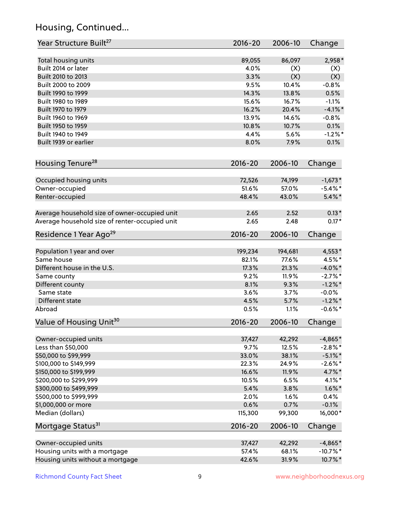# Housing, Continued...

| Year Structure Built <sup>27</sup>             | 2016-20     | 2006-10 | Change      |
|------------------------------------------------|-------------|---------|-------------|
| Total housing units                            | 89,055      | 86,097  | $2,958*$    |
| Built 2014 or later                            | 4.0%        | (X)     | (X)         |
| Built 2010 to 2013                             | 3.3%        | (X)     | (X)         |
| Built 2000 to 2009                             | 9.5%        | 10.4%   | $-0.8%$     |
| Built 1990 to 1999                             | 14.3%       | 13.8%   | 0.5%        |
| Built 1980 to 1989                             | 15.6%       | 16.7%   | $-1.1%$     |
| Built 1970 to 1979                             | 16.2%       | 20.4%   | $-4.1\%$ *  |
| Built 1960 to 1969                             | 13.9%       | 14.6%   | $-0.8%$     |
| Built 1950 to 1959                             | 10.8%       | 10.7%   | 0.1%        |
| Built 1940 to 1949                             | 4.4%        | 5.6%    | $-1.2%$ *   |
| Built 1939 or earlier                          | 8.0%        | 7.9%    | 0.1%        |
| Housing Tenure <sup>28</sup>                   | $2016 - 20$ | 2006-10 | Change      |
|                                                |             |         |             |
| Occupied housing units                         | 72,526      | 74,199  | $-1,673*$   |
| Owner-occupied                                 | 51.6%       | 57.0%   | $-5.4\%$ *  |
| Renter-occupied                                | 48.4%       | 43.0%   | $5.4\%$ *   |
| Average household size of owner-occupied unit  | 2.65        | 2.52    | $0.13*$     |
| Average household size of renter-occupied unit | 2.65        | 2.48    | $0.17*$     |
| Residence 1 Year Ago <sup>29</sup>             | $2016 - 20$ | 2006-10 | Change      |
| Population 1 year and over                     | 199,234     | 194,681 | 4,553*      |
| Same house                                     | 82.1%       | 77.6%   | 4.5%*       |
| Different house in the U.S.                    | 17.3%       | 21.3%   | $-4.0\%$ *  |
| Same county                                    | 9.2%        | 11.9%   | $-2.7%$ *   |
| Different county                               | 8.1%        | 9.3%    | $-1.2\%$ *  |
| Same state                                     | 3.6%        | 3.7%    | $-0.0%$     |
| Different state                                | 4.5%        | 5.7%    | $-1.2\%$ *  |
| Abroad                                         | 0.5%        | 1.1%    | $-0.6%$ *   |
| Value of Housing Unit <sup>30</sup>            | $2016 - 20$ | 2006-10 | Change      |
|                                                | 37,427      | 42,292  | $-4,865*$   |
| Owner-occupied units<br>Less than \$50,000     | 9.7%        | 12.5%   | $-2.8\%$ *  |
| \$50,000 to \$99,999                           | 33.0%       | 38.1%   | $-5.1\%$ *  |
| \$100,000 to \$149,999                         | 22.3%       | 24.9%   | $-2.6%$ *   |
| \$150,000 to \$199,999                         | 16.6%       | 11.9%   | 4.7%*       |
| \$200,000 to \$299,999                         | 10.5%       | 6.5%    | $4.1\%$ *   |
| \$300,000 to \$499,999                         | 5.4%        | 3.8%    | $1.6\%$ *   |
| \$500,000 to \$999,999                         | 2.0%        | 1.6%    | 0.4%        |
| \$1,000,000 or more                            | 0.6%        | 0.7%    | $-0.1%$     |
| Median (dollars)                               | 115,300     | 99,300  | 16,000*     |
| Mortgage Status <sup>31</sup>                  | $2016 - 20$ | 2006-10 | Change      |
|                                                |             |         |             |
| Owner-occupied units                           | 37,427      | 42,292  | $-4,865*$   |
| Housing units with a mortgage                  | 57.4%       | 68.1%   | $-10.7\%$ * |
| Housing units without a mortgage               | 42.6%       | 31.9%   | 10.7%*      |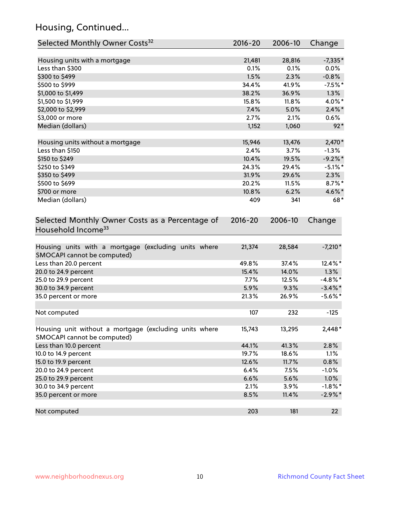# Housing, Continued...

| Selected Monthly Owner Costs <sup>32</sup>                                            | $2016 - 20$ | 2006-10 | Change     |
|---------------------------------------------------------------------------------------|-------------|---------|------------|
| Housing units with a mortgage                                                         | 21,481      | 28,816  | $-7,335*$  |
| Less than \$300                                                                       | 0.1%        | 0.1%    | $0.0\%$    |
| \$300 to \$499                                                                        | 1.5%        | 2.3%    | $-0.8%$    |
| \$500 to \$999                                                                        | 34.4%       | 41.9%   | $-7.5%$ *  |
| \$1,000 to \$1,499                                                                    | 38.2%       | 36.9%   | 1.3%       |
| \$1,500 to \$1,999                                                                    | 15.8%       | 11.8%   | 4.0%*      |
| \$2,000 to \$2,999                                                                    | 7.4%        | 5.0%    | $2.4\%$ *  |
| \$3,000 or more                                                                       | 2.7%        | 2.1%    | 0.6%       |
| Median (dollars)                                                                      | 1,152       | 1,060   | $92*$      |
| Housing units without a mortgage                                                      | 15,946      | 13,476  | 2,470*     |
| Less than \$150                                                                       | 2.4%        | 3.7%    | $-1.3%$    |
| \$150 to \$249                                                                        | 10.4%       | 19.5%   | $-9.2%$ *  |
| \$250 to \$349                                                                        | 24.3%       | 29.4%   | $-5.1\%$ * |
| \$350 to \$499                                                                        | 31.9%       | 29.6%   | 2.3%       |
| \$500 to \$699                                                                        | 20.2%       | 11.5%   | 8.7%*      |
| \$700 or more                                                                         | 10.8%       | 6.2%    | 4.6%*      |
| Median (dollars)                                                                      | 409         | 341     | 68*        |
| Selected Monthly Owner Costs as a Percentage of<br>Household Income <sup>33</sup>     | $2016 - 20$ | 2006-10 | Change     |
| Housing units with a mortgage (excluding units where<br>SMOCAPI cannot be computed)   | 21,374      | 28,584  | $-7,210*$  |
| Less than 20.0 percent                                                                | 49.8%       | 37.4%   | 12.4%*     |
| 20.0 to 24.9 percent                                                                  | 15.4%       | 14.0%   | 1.3%       |
| 25.0 to 29.9 percent                                                                  | 7.7%        | 12.5%   | $-4.8\%$ * |
| 30.0 to 34.9 percent                                                                  | 5.9%        | 9.3%    | $-3.4\%$ * |
| 35.0 percent or more                                                                  | 21.3%       | 26.9%   | $-5.6\%$ * |
| Not computed                                                                          | 107         | 232     | $-125$     |
| Housing unit without a mortgage (excluding units where<br>SMOCAPI cannot be computed) | 15,743      | 13,295  | $2,448*$   |
| Less than 10.0 percent                                                                | 44.1%       | 41.3%   | 2.8%       |
| 10.0 to 14.9 percent                                                                  | 19.7%       | 18.6%   | 1.1%       |
| 15.0 to 19.9 percent                                                                  | 12.6%       | 11.7%   | 0.8%       |
| 20.0 to 24.9 percent                                                                  | 6.4%        | 7.5%    | $-1.0%$    |
| 25.0 to 29.9 percent                                                                  | 6.6%        | 5.6%    | 1.0%       |
| 30.0 to 34.9 percent                                                                  | 2.1%        | 3.9%    | $-1.8\%$ * |
| 35.0 percent or more                                                                  | 8.5%        | 11.4%   | $-2.9\%*$  |
| Not computed                                                                          | 203         | 181     | 22         |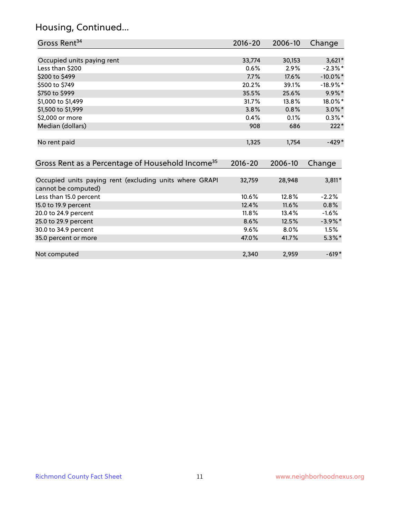# Housing, Continued...

| Gross Rent <sup>34</sup>                                                       | $2016 - 20$ | 2006-10 | Change      |
|--------------------------------------------------------------------------------|-------------|---------|-------------|
|                                                                                |             |         |             |
| Occupied units paying rent                                                     | 33,774      | 30,153  | $3,621*$    |
| Less than \$200                                                                | 0.6%        | 2.9%    | $-2.3\%$ *  |
| \$200 to \$499                                                                 | 7.7%        | 17.6%   | $-10.0\%$ * |
| \$500 to \$749                                                                 | 20.2%       | 39.1%   | $-18.9\%$ * |
| \$750 to \$999                                                                 | 35.5%       | 25.6%   | 9.9%*       |
| \$1,000 to \$1,499                                                             | 31.7%       | 13.8%   | 18.0%*      |
| \$1,500 to \$1,999                                                             | 3.8%        | 0.8%    | $3.0\%$ *   |
| \$2,000 or more                                                                | 0.4%        | 0.1%    | $0.3\%$ *   |
| Median (dollars)                                                               | 908         | 686     | $222*$      |
|                                                                                |             |         |             |
| No rent paid                                                                   | 1,325       | 1,754   | $-429*$     |
|                                                                                |             |         |             |
| Gross Rent as a Percentage of Household Income <sup>35</sup>                   | $2016 - 20$ | 2006-10 | Change      |
|                                                                                |             |         |             |
| Occupied units paying rent (excluding units where GRAPI<br>cannot be computed) | 32,759      | 28,948  | $3,811*$    |
| Less than 15.0 percent                                                         | 10.6%       | 12.8%   | $-2.2%$     |
| 15.0 to 19.9 percent                                                           | 12.4%       | 11.6%   | 0.8%        |
| 20.0 to 24.9 percent                                                           | 11.8%       | 13.4%   | $-1.6%$     |
| 25.0 to 29.9 percent                                                           | 8.6%        | 12.5%   | $-3.9\%$ *  |
| 30.0 to 34.9 percent                                                           | 9.6%        | 8.0%    | 1.5%        |
| 35.0 percent or more                                                           | 47.0%       | 41.7%   | $5.3\%$ *   |
|                                                                                |             |         |             |
| Not computed                                                                   | 2,340       | 2,959   | $-619*$     |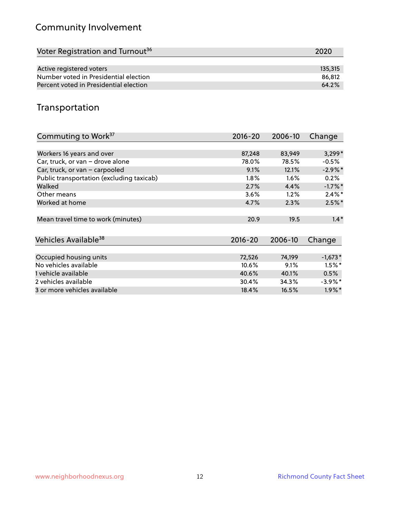# Community Involvement

| 2020    |
|---------|
|         |
| 135,315 |
| 86.812  |
| 64.2%   |
|         |

#### Transportation

| Commuting to Work <sup>37</sup>           | 2016-20     | 2006-10 | Change     |
|-------------------------------------------|-------------|---------|------------|
|                                           |             |         |            |
| Workers 16 years and over                 | 87,248      | 83,949  | $3,299*$   |
| Car, truck, or van - drove alone          | 78.0%       | 78.5%   | $-0.5%$    |
| Car, truck, or van - carpooled            | 9.1%        | 12.1%   | $-2.9\%$ * |
| Public transportation (excluding taxicab) | $1.8\%$     | 1.6%    | 0.2%       |
| Walked                                    | 2.7%        | 4.4%    | $-1.7%$ *  |
| Other means                               | 3.6%        | 1.2%    | $2.4\%$ *  |
| Worked at home                            | 4.7%        | 2.3%    | $2.5\%$ *  |
| Mean travel time to work (minutes)        | 20.9        | 19.5    | $1.4*$     |
| Vehicles Available <sup>38</sup>          | $2016 - 20$ | 2006-10 | Change     |
| Occupied housing units                    | 72,526      | 74,199  | $-1,673*$  |
| No vehicles available                     | 10.6%       | 9.1%    | $1.5\%$ *  |
| 1 vehicle available                       | 40.6%       | 40.1%   | 0.5%       |
| 2 vehicles available                      | 30.4%       | 34.3%   | $-3.9\%$ * |
| 3 or more vehicles available              | 18.4%       | 16.5%   | $1.9\%$ *  |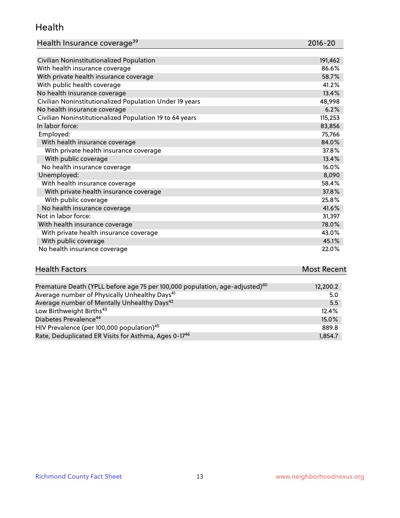#### Health

| Health Insurance coverage <sup>39</sup> | 2016-20 |
|-----------------------------------------|---------|
|-----------------------------------------|---------|

| Civilian Noninstitutionalized Population                | 191,462 |
|---------------------------------------------------------|---------|
| With health insurance coverage                          | 86.6%   |
| With private health insurance coverage                  | 58.7%   |
| With public health coverage                             | 41.2%   |
| No health insurance coverage                            | 13.4%   |
| Civilian Noninstitutionalized Population Under 19 years | 48,998  |
| No health insurance coverage                            | 6.2%    |
| Civilian Noninstitutionalized Population 19 to 64 years | 115,253 |
| In labor force:                                         | 83,856  |
| Employed:                                               | 75,766  |
| With health insurance coverage                          | 84.0%   |
| With private health insurance coverage                  | 37.8%   |
| With public coverage                                    | 13.4%   |
| No health insurance coverage                            | 16.0%   |
| Unemployed:                                             | 8,090   |
| With health insurance coverage                          | 58.4%   |
| With private health insurance coverage                  | 37.8%   |
| With public coverage                                    | 25.8%   |
| No health insurance coverage                            | 41.6%   |
| Not in labor force:                                     | 31,397  |
| With health insurance coverage                          | 78.0%   |
| With private health insurance coverage                  | 43.0%   |
| With public coverage                                    | 45.1%   |
| No health insurance coverage                            | 22.0%   |

# **Health Factors Most Recent** And The Control of the Control of The Control of The Control of The Control of The Control of The Control of The Control of The Control of The Control of The Control of The Control of The Contr

| Premature Death (YPLL before age 75 per 100,000 population, age-adjusted) <sup>40</sup> | 12,200.2 |
|-----------------------------------------------------------------------------------------|----------|
| Average number of Physically Unhealthy Days <sup>41</sup>                               | 5.0      |
| Average number of Mentally Unhealthy Days <sup>42</sup>                                 | 5.5      |
| Low Birthweight Births <sup>43</sup>                                                    | 12.4%    |
| Diabetes Prevalence <sup>44</sup>                                                       | $15.0\%$ |
| HIV Prevalence (per 100,000 population) <sup>45</sup>                                   | 889.8    |
| Rate, Deduplicated ER Visits for Asthma, Ages 0-17 <sup>46</sup>                        | 1,854.7  |